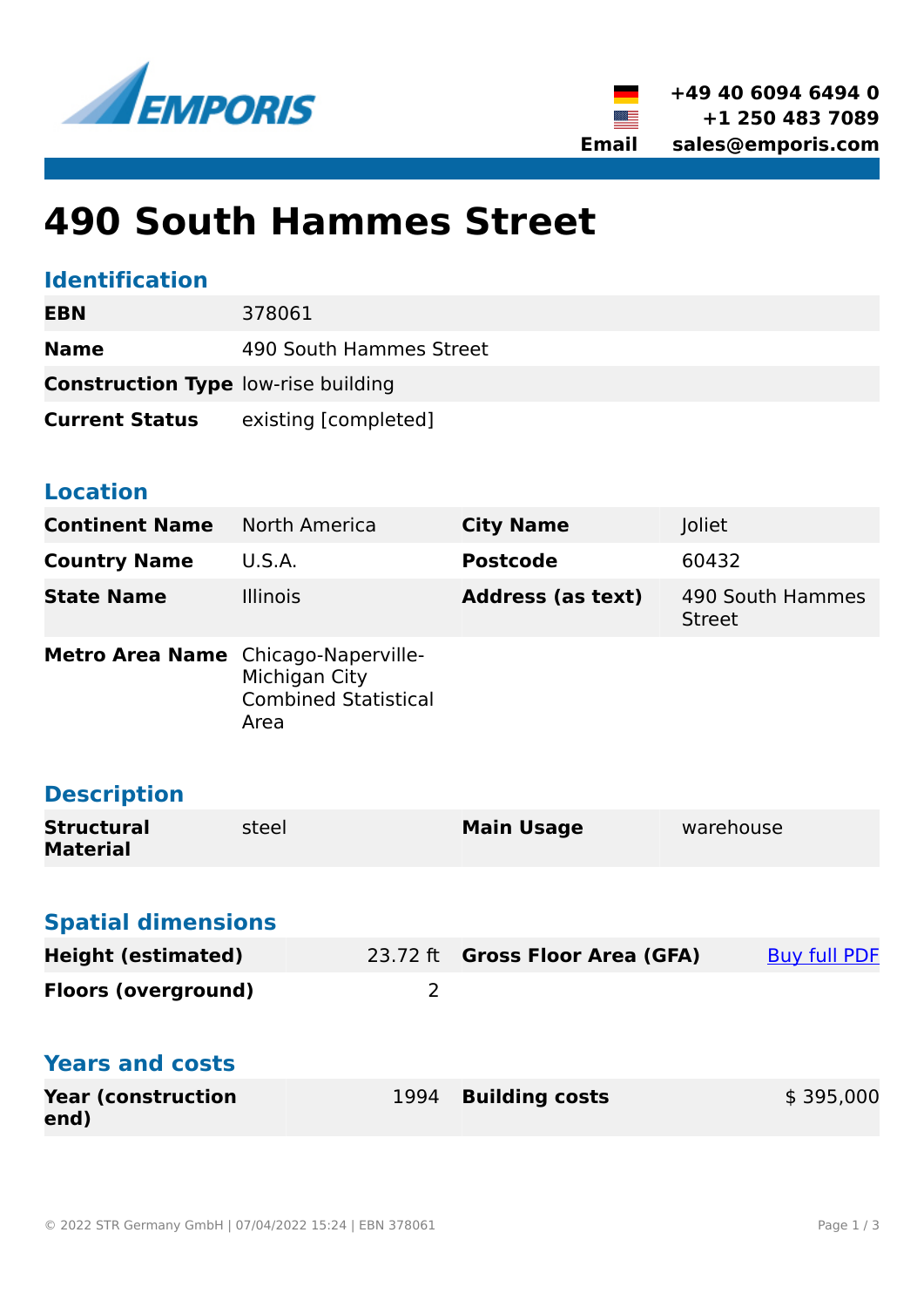



# **490 South Hammes Street**

## **Identification**

| EBN                                        | 378061                  |
|--------------------------------------------|-------------------------|
| <b>Name</b>                                | 490 South Hammes Street |
| <b>Construction Type low-rise building</b> |                         |
| <b>Current Status</b>                      | existing [completed]    |

#### **Location**

| <b>Continent Name</b>                | North America                                                               | <b>City Name</b>                | Joliet                            |  |
|--------------------------------------|-----------------------------------------------------------------------------|---------------------------------|-----------------------------------|--|
| <b>Country Name</b>                  | <b>U.S.A.</b>                                                               | <b>Postcode</b>                 | 60432                             |  |
| <b>State Name</b>                    | <b>Illinois</b>                                                             | <b>Address (as text)</b>        | 490 South Hammes<br><b>Street</b> |  |
| <b>Metro Area Name</b>               | Chicago-Naperville-<br>Michigan City<br><b>Combined Statistical</b><br>Area |                                 |                                   |  |
| <b>Description</b>                   |                                                                             |                                 |                                   |  |
| <b>Structural</b><br><b>Material</b> | steel                                                                       | <b>Main Usage</b>               | warehouse                         |  |
|                                      |                                                                             |                                 |                                   |  |
| <b>Spatial dimensions</b>            |                                                                             |                                 |                                   |  |
| <b>Height (estimated)</b>            |                                                                             | 23.72 ft Gross Floor Area (GFA) | <b>Buy full PDF</b>               |  |
| <b>Floors (overground)</b>           | $\overline{2}$                                                              |                                 |                                   |  |
| <b>Years and costs</b>               |                                                                             |                                 |                                   |  |
| <b>Year (construction</b><br>end)    | 1994                                                                        | <b>Building costs</b>           | \$395,000                         |  |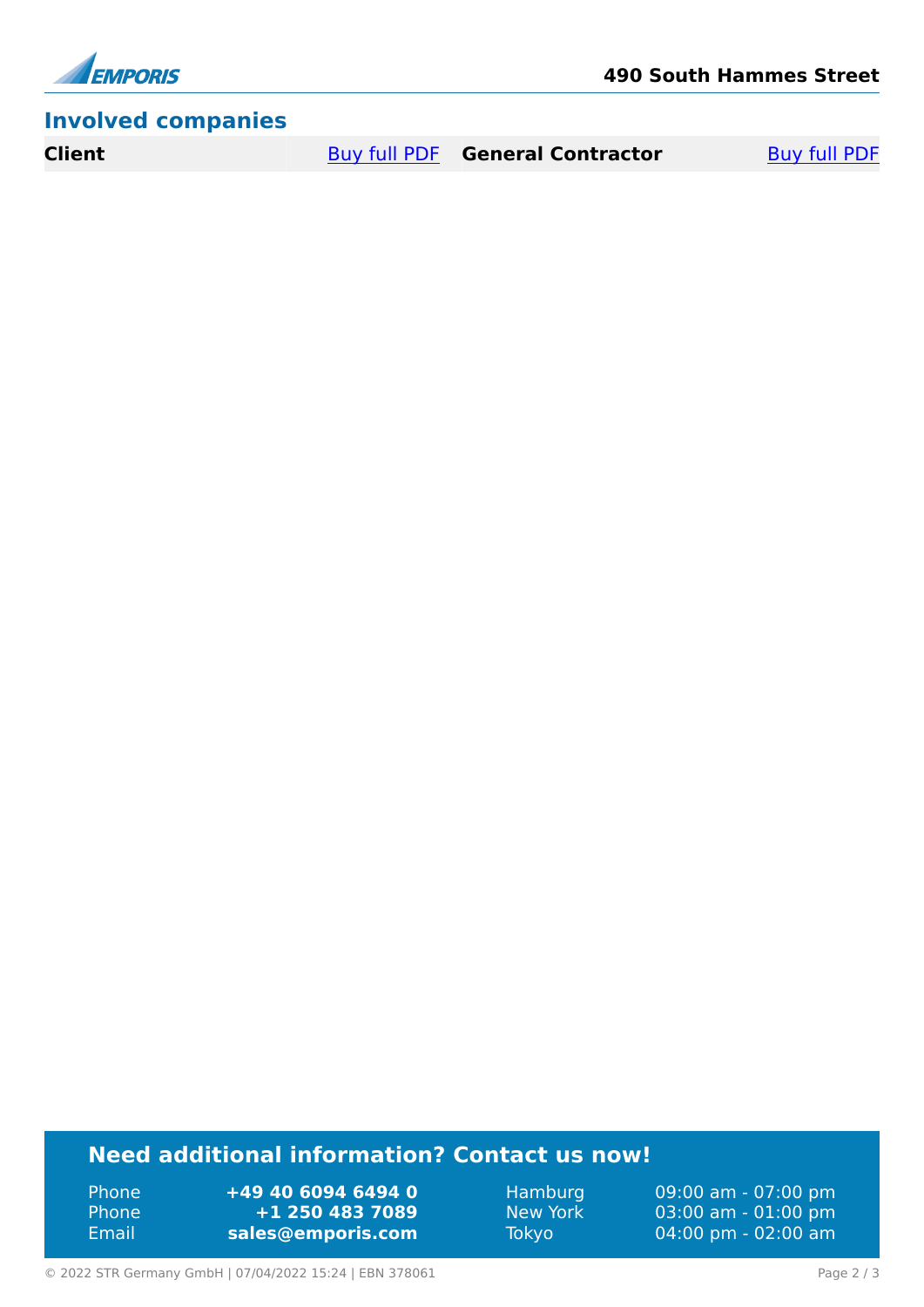

## **Involved companies**

**Client** [Buy full PDF](https://www.emporis.com/buildings/378061/490-south-hammes-street-joliet-il-usa?buypdf=) **General Contractor** Buy full PDF

# **Need additional information? Contact us now!**

Phone **+49 40 6094 6494 0** Phone **+1 250 483 7089** Email **<sales@emporis.com>**

Hamburg 09:00 am - 07:00 pm New York 03:00 am - 01:00 pm<br>Tokyo 04:00 pm - 02:00 am 04:00 pm - 02:00 am

© 2022 STR Germany GmbH | 07/04/2022 15:24 | EBN 378061 Page 2 / 3